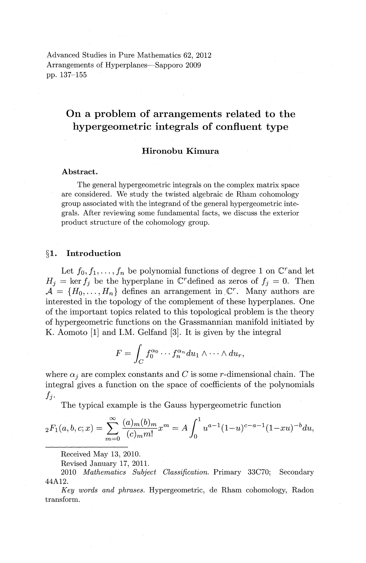Advanced Studies in Pure Mathematics 62, 2012 Arrangements of Hyperplanes-Sapporo 2009 pp. 137-155

# **On a problem of arrangements related to the hypergeometric integrals of confluent type**

# **Hironobu Kimura**

# Abstract.

The general hypergeometric integrals on the complex matrix space are considered. We study the twisted algebraic de Rham cohomology group associated with the integrand of the general hypergeometric integrals. After reviewing some fundamental facts, we discuss the exterior product structure of the cohomology group.

#### **§1. Introduction**

Let  $f_0, f_1, \ldots, f_n$  be polynomial functions of degree 1 on  $\mathbb{C}^r$  and let  $H_j = \ker f_j$  be the hyperplane in C<sup>r</sup> defined as zeros of  $f_j = 0$ . Then  $\mathcal{A} = \{H_0, \ldots, H_n\}$  defines an arrangement in  $\mathbb{C}^r$ . Many authors are interested in the topology of the complement of these hyperplanes. One of the important topics related to this topological problem is the theory of hypergeometric functions on the Grassmannian manifold initiated by K. Aomoto [1] and I.M. Gelfand [3]. It is given by the integral

$$
F=\int_C f_0^{\alpha_0}\cdots f_n^{\alpha_n}du_1\wedge\cdots\wedge du_r,
$$

where  $\alpha_i$  are complex constants and *C* is some *r*-dimensional chain. The integral gives a function on the space of coefficients of the polynomials  $f_i$ .

The typical example is the Gauss hypergeometric function

$$
{}_2F_1(a,b,c;x) = \sum_{m=0}^{\infty} \frac{(a)_m(b)_m}{(c)_m m!} x^m = A \int_0^1 u^{a-1} (1-u)^{c-a-1} (1-xu)^{-b} du,
$$

Received May 13, 2010.

Revised January 17, 2011.

2010 *Mathematics Subject Classification.* Primary 33C70; Secondary 44A12.

*Key words and phrases.* Hypergeometric, de Rham cohomology, Radon transform.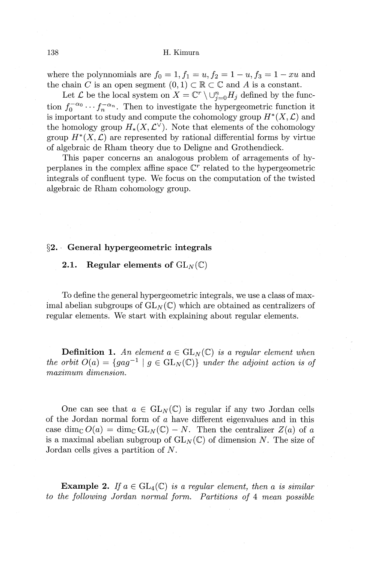where the polynnomials are  $f_0 = 1, f_1 = u, f_2 = 1 - u, f_3 = 1 - xu$  and the chain C is an open segment  $(0, 1) \subset \mathbb{R} \subset \mathbb{C}$  and A is a constant.

Let  $\mathcal L$  be the local system on  $X = \mathbb C^r \setminus \cup_{i=0}^n H_i$  defined by the function  $f_0^{-\alpha_0} \cdots f_n^{-\alpha_n}$ . Then to investigate the hypergeometric function it is important to study and compute the cohomology group  $H^*(X, \mathcal{L})$  and the homology group  $H_*(X, \mathcal{L}^{\vee})$ . Note that elements of the cohomology group  $H^*(X, \mathcal{L})$  are represented by rational differential forms by virtue of algebraic de Rham theory due to Deligne and Grothendieck.

This paper concerns an analogous problem of arragements of hyperplanes in the complex affine space  $\mathbb{C}^r$  related to the hypergeometric integrals of confluent type. We focus on the computation of the twisted algebraic de Rham cohomology group.

## **§2. · General hypergeometric integrals**

## **2.1.** Regular elements of  $GL_N(\mathbb{C})$

To define the general hypergeometric integrals, we use a class of maximal abelian subgroups of  $GL_N(\mathbb{C})$  which are obtained as centralizers of regular elements. We start with explaining about regular elements.

**Definition 1.** An element  $a \in GL_N(\mathbb{C})$  is a regular element when *the orbit*  $O(a) = \{g a g^{-1} \mid g \in GL_N(\mathbb{C})\}$  *under the adjoint action is of maximum dimension.* 

One can see that  $a \in GL_N(\mathbb{C})$  is regular if any two Jordan cells of the Jordan normal form of a have different eigenvalues and in this case dim<sub>c</sub>  $O(a) = \dim_{\mathbb{C}} GL_N(\mathbb{C}) - N$ . Then the centralizer  $Z(a)$  of a is a maximal abelian subgroup of  $GL_N(\mathbb{C})$  of dimension N. The size of Jordan cells gives a partition of N.

**Example 2.** If  $a \in GL_4(\mathbb{C})$  *is a regular element, then a is similar to the following Jordan normal form. Partitions of* 4 *mean possible*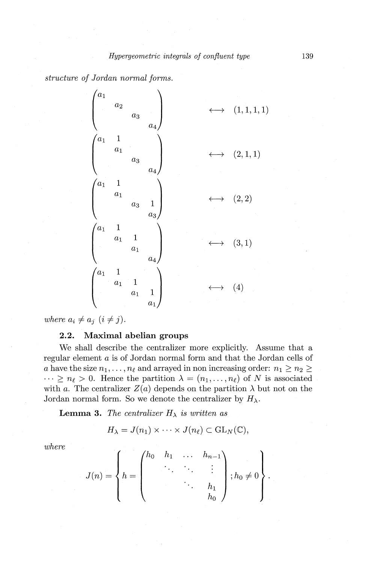*structure of Jordan normal forms.* 

 $\begin{pmatrix} a_1 & & & & \ & a_2 & & & \ & & a_3 & & \ & & & & a_4 \ \end{pmatrix} \longleftrightarrow (1,1,1,1)$  $\begin{pmatrix} a_1 & 1 & & \ & a_1 & \ & & & \end{pmatrix}$  $\begin{pmatrix} 1 & & & \ a_1 & & & \ a_3 & & & \ a_4 & & & \end{pmatrix}$  $a_3 \rightarrow (2,1,1)$  $\begin{pmatrix} a_1 & 1 \ & a_1 & 1 \ & & \ddots & \ddots \ & & & & \end{pmatrix}$  $\begin{pmatrix} 1 & & & & \ a_1 & & & & \ a_3 & 1 & & \ & & a_3 \end{pmatrix}$  $a_3 \quad 1 \quad \longleftarrow \quad (2, 2)$  $\begin{pmatrix} a_1 & 1 \ & a_1 & \ & & \ a & & \ & & \ \end{pmatrix}$  $\begin{pmatrix} 1 & & & & \ a_1 & 1 & & & \ a_1 & & & & a_4 \end{pmatrix}$  $\begin{array}{c} \hline \hline a_1 \end{array}$   $\longleftrightarrow$  (3, 1)  $\begin{matrix} a_1 & 1 \ & a_1 \end{matrix}$  $\begin{pmatrix} 1 & & & \ a_1 & 1 & & \ a_1 & 1 & & \ a_1 & 1 & & \end{pmatrix}$  $\begin{array}{c} 1 \ \hline a_1 & 1 \end{array}$   $\longleftrightarrow$  (4)

*where*  $a_i \neq a_j$   $(i \neq j)$ .

# **2.2. Maximal abelian groups**

We shall describe the centralizer more explicitly. Assume that a regular element a is of Jordan normal form and that the Jordan cells of a have the size  $n_1, \ldots, n_\ell$  and arrayed in non increasing order:  $n_1 \geq n_2 \geq$  $\cdots \geq n_{\ell} > 0$ . Hence the partition  $\lambda = (n_1, \ldots, n_{\ell})$  of N is associated with *a*. The centralizer  $Z(a)$  depends on the partition  $\lambda$  but not on the Jordan normal form. So we denote the centralizer by  $H_{\lambda}$ .

**Lemma 3.** *The centralizer*  $H_{\lambda}$  *is written as* 

$$
H_{\lambda} = J(n_1) \times \cdots \times J(n_{\ell}) \subset GL_N(\mathbb{C}),
$$

$$
H_{\lambda} = J(n_1) \times \cdots \times J(n_{\ell}) \subset \mathrm{GL}_N(\mathbb{C}),
$$
  
where  

$$
J(n) = \begin{cases} h_0 & h_1 & \cdots & h_{n-1} \\ \vdots & \ddots & \vdots \\ \vdots & \ddots & h_1 \\ h_0 & h_0 \end{cases}; h_0 \neq 0 \qquad .
$$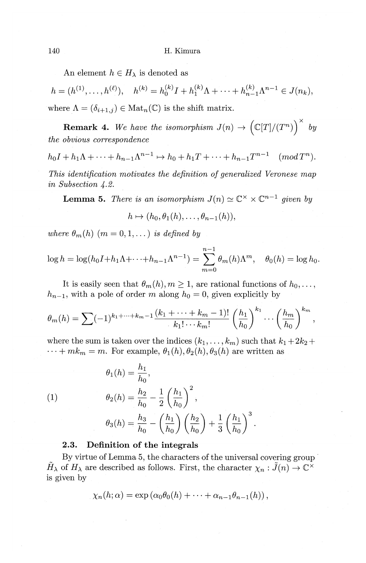An element  $h \in H_{\lambda}$  is denoted as

$$
h = (h^{(1)}, \dots, h^{(\ell)}), \quad h^{(k)} = h_0^{(k)}I + h_1^{(k)}\Lambda + \dots + h_{n-1}^{(k)}\Lambda^{n-1} \in J(n_k),
$$
  
where  $\Lambda = (\delta_{i+1,j}) \in \text{Mat}_n(\mathbb{C})$  is the shift matrix.

**Remark 4.** We have the isomorphism  $J(n) \rightarrow (\mathbb{C}[T]/(T^n))^{\times}$  by *the obvious correspondence* 

 $h_0I + h_1\Lambda + \cdots + h_{n-1}\Lambda^{n-1} \mapsto h_0 + h_1T + \cdots + h_{n-1}T^{n-1}$  (mod  $T^n$ ).

*This identification motivates the definition of generalized Veronese map in Subsection 4.2.* 

**Lemma 5.** *There is an isomorphism*  $J(n) \simeq \mathbb{C}^\times \times \mathbb{C}^{n-1}$  *given by* 

$$
h\mapsto (h_0,\theta_1(h),\ldots,\theta_{n-1}(h)),
$$

*where*  $\theta_m(h)$   $(m = 0, 1, ...)$  *is defined by* 

$$
\log h = \log(h_0 I + h_1 \Lambda + \dots + h_{n-1} \Lambda^{n-1}) = \sum_{m=0}^{n-1} \theta_m(h) \Lambda^m, \quad \theta_0(h) = \log h_0.
$$

It is easily seen that  $\theta_m(h), m \geq 1$ , are rational functions of  $h_0, \ldots$ ,  $h_{n-1}$ , with a pole of order *m* along  $h_0 = 0$ , given explicitly by

$$
\theta_m(h) = \sum (-1)^{k_1 + \dots + k_m - 1} \frac{(k_1 + \dots + k_m - 1)!}{k_1! \cdots k_m!} \left(\frac{h_1}{h_0}\right)^{k_1} \cdots \left(\frac{h_m}{h_0}\right)^{k_m},
$$

where the sum is taken over the indices  $(k_1, \ldots, k_m)$  such that  $k_1 + 2k_2 +$  $\cdots + mk_m = m$ . For example,  $\theta_1(h), \theta_2(h), \theta_3(h)$  are written as

(1)  
\n
$$
\theta_1(h) = \frac{h_1}{h_0},
$$
\n
$$
\theta_2(h) = \frac{h_2}{h_0} - \frac{1}{2} \left(\frac{h_1}{h_0}\right)^2,
$$
\n
$$
\theta_3(h) = \frac{h_3}{h_0} - \left(\frac{h_1}{h_0}\right) \left(\frac{h_2}{h_0}\right) + \frac{1}{3} \left(\frac{h_1}{h_0}\right)^3.
$$

#### **2.3. Definition of the integrals**

By virtue of Lemma 5, the characters of the universal covering group  $H_{\lambda}$  of  $H_{\lambda}$  are described as follows. First, the character  $\chi_n : \tilde{J}(n) \to \mathbb{C}^{\times}$ is given by

$$
\chi_n(h;\alpha)=\exp\left(\alpha_0\theta_0(h)+\cdots+\alpha_{n-1}\theta_{n-1}(h)\right),
$$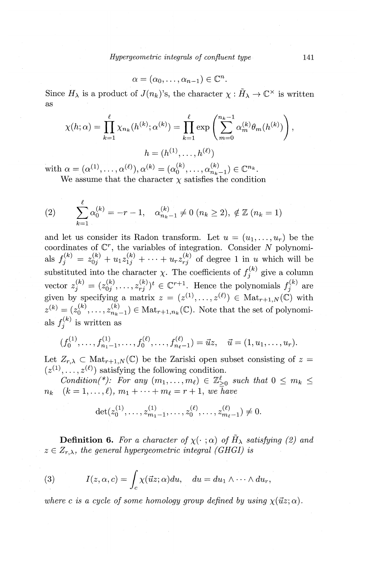*Hypergeometric integrals of confluent type* 141

$$
\alpha=(\alpha_0,\ldots,\alpha_{n-1})\in\mathbb{C}^n.
$$

Since  $H_{\lambda}$  is a product of  $J(n_k)$ 's, the character  $\chi : \tilde{H}_{\lambda} \to \mathbb{C}^{\times}$  is written as

$$
\chi(h; \alpha) = \prod_{k=1}^{\ell} \chi_{n_k}(h^{(k)}; \alpha^{(k)}) = \prod_{k=1}^{\ell} \exp\left(\sum_{m=0}^{n_k - 1} \alpha_m^{(k)} \theta_m(h^{(k)})\right),
$$

$$
h = (h^{(1)}, \dots, h^{(\ell)})
$$

with  $\alpha = (\alpha^{(1)}, \ldots, \alpha^{(\ell)}), \alpha^{(k)} = (\alpha_0^{(k)}, \ldots, \alpha_{n_k-1}^{(k)}) \in \mathbb{C}^{n_k}$ . We assume that the character  $\chi$  satisfies the condition

(2) 
$$
\sum_{k=1}^{\ell} \alpha_0^{(k)} = -r - 1, \quad \alpha_{n_k-1}^{(k)} \neq 0 \ (n_k \geq 2), \ \notin \mathbb{Z} \ (n_k = 1)
$$

and let us consider its Radon transform. Let  $u = (u_1, \ldots, u_r)$  be the coordinates of  $\mathbb{C}^r$ , the variables of integration. Consider N polynomials  $f_i^{(k)} = z_{0i}^{(k)} + u_1 z_{1i}^{(k)} + \cdots + u_r z_{ri}^{(k)}$  of degree 1 in *u* which will be substituted into the character  $\chi$ . The coefficients of  $f_j^{(k)}$  give a column vector  $z_j^{(k)} = (z_{0j}^{(k)}, \ldots, z_{rj}^{(k)})^t \in \mathbb{C}^{r+1}$ . Hence the polynomials  $f_j^{(k)}$  are given by specifying a matrix  $z = (z^{(1)}, \ldots, z^{(\ell)}) \in Mat_{r+1,N}(\mathbb{C})$  with  $z^{(k)} = (z_0^{(k)}, \ldots, z_{n_k-1}^{(k)}) \in \text{Mat}_{r+1,n_k}(\mathbb{C})$ . Note that the set of polynomials  $f_i^{(k)}$  is written as

$$
(f_0^{(1)},\ldots,f_{n_1-1}^{(1)},\ldots,f_0^{(\ell)},\ldots,f_{n_\ell-1}^{(\ell)})=\vec{u}z, \quad \vec{u}=(1,u_1,\ldots,u_r).
$$

Let  $Z_{r,\lambda} \subset \text{Mat}_{r+1,N}(\mathbb{C})$  be the Zariski open subset consisting of  $z =$  $(z^{(1)}, \ldots, z^{(\ell)})$  satisfying the following condition.

*Condition(\*): For any*  $(m_1, \ldots, m_\ell) \in \mathbb{Z}_{\geq 0}^{\ell}$  *such that*  $0 \leq m_k \leq \ell$  $n_k$   $(k = 1, ..., \ell), m_1 + \cdots + m_\ell = r + 1$ , *we have* 

$$
\det(z_0^{(1)},\ldots,z_{m_1-1}^{(1)},\ldots,z_0^{(\ell)},\ldots,z_{m_\ell-1}^{(\ell)})\neq 0.
$$

**Definition 6.** For a character of  $\chi(\cdot;\alpha)$  of  $H_{\lambda}$  satisfying (2) and  $z \in Z_{r,\lambda}$ , the general hypergeometric integral (GHGI) is

(3) 
$$
I(z, \alpha, c) = \int_c \chi(\vec{u}z; \alpha) du, \quad du = du_1 \wedge \cdots \wedge du_r,
$$

where c is a cycle of some homology group defined by using  $\chi(\vec{u}z;\alpha)$ .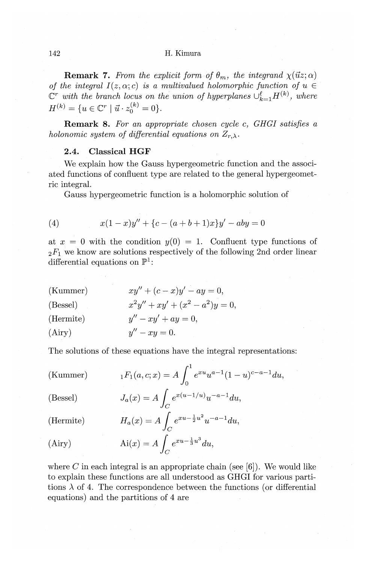**Remark 7.** *From the explicit form of*  $\theta_m$ , the integrand  $\chi(\vec{u}z;\alpha)$ *of the integral*  $I(z, \alpha; c)$  *is a multivalued holomorphic function of u*  $\in$  $\mathbb{C}^r$  with the branch locus on the union of hyperplanes  $\cup_{k=1}^{\ell} H^{(k)}$ , where  $H^{(k)} = \{u \in \mathbb{C}^r \mid \vec{u} \cdot z_0^{(k)} = 0\}.$ 

**Remark 8.** *For an appropriate chosen cycle c, GHGI satisfies a holonomic system of differential equations on*  $Z_{r,\lambda}$ .

# **2.4. Classical HGF**

We explain how the Gauss hypergeometric function and the associated functions of confluent type are related to the general hypergeometric integral.

Gauss hypergeometric function is a holomorphic solution of

(4) 
$$
x(1-x)y'' + \{c - (a+b+1)x\}y' - aby = 0
$$

at  $x = 0$  with the condition  $y(0) = 1$ . Confluent type functions of  $2F_1$  we know are solutions respectively of the following 2nd order linear differential equations on  $\mathbb{P}^1$ :

(Kummer) (Bessel) (Hermite) (Airy)  $xu'' + (c - x)u' - au = 0$ .  $x^2y'' + xy' + (x^2 - a^2)y = 0,$  $y'' - xy' + ay = 0,$  $y'' - xu = 0.$ 

The solutions of these equations have the integral representations:

(Kummer) 
$$
{}_{1}F_{1}(a, c; x) = A \int_{0}^{1} e^{xu} u^{a-1} (1-u)^{c-a-1} du,
$$
  
\n(Bessel) 
$$
J_{a}(x) = A \int_{C} e^{x(u-1/u)} u^{-a-1} du,
$$
  
\n(Hermite) 
$$
H_{a}(x) = A \int_{C} e^{xu-\frac{1}{2}u^{2}} u^{-a-1} du,
$$
  
\n(Airy) 
$$
Ai(x) = A \int_{C} e^{xu-\frac{1}{3}u^{3}} du,
$$

where  $C$  in each integral is an appropriate chain (see  $[6]$ ). We would like to explain these functions are all understood as GHGI for various partitions  $\lambda$  of 4. The correspondence between the functions (or differential equations) and the partitions of 4 are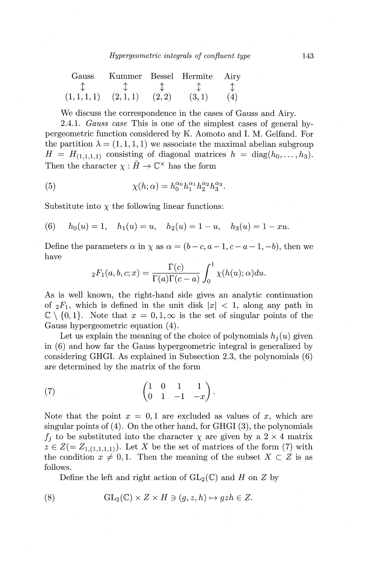| Gauss        | Kummer Bessel Hermite |        |       | Airv |
|--------------|-----------------------|--------|-------|------|
|              |                       |        |       |      |
| (1, 1, 1, 1) | (2,1,1)               | (2, 2) | (3,1) | (4)  |

We discuss the correspondence in the cases of Gauss and Airy.

2.4.1. *Gauss case* This is one of the simplest cases of general hypergeometric function considered by K. Aomoto and I. M. Gelfand. For the partition  $\lambda = (1, 1, 1, 1)$  we associate the maximal abelian subgroup  $H = H_{(1,1,1,1)}$  consisting of diagonal matrices  $h = \text{diag}(h_0, \ldots, h_3)$ . Then the character  $\chi : \tilde{H} \to \mathbb{C}^{\times}$  has the form

(5) 
$$
\chi(h; \alpha) = h_0^{\alpha_0} h_1^{\alpha_1} h_2^{\alpha_2} h_3^{\alpha_3}.
$$

Substitute into  $\chi$  the following linear functions:

(6) 
$$
h_0(u) = 1
$$
,  $h_1(u) = u$ ,  $h_2(u) = 1 - u$ ,  $h_3(u) = 1 - xu$ .

Define the parameters  $\alpha$  in  $\chi$  as  $\alpha = (b-c, a-1, c-a-1, -b)$ , then we have

$$
{}_2F_1(a,b,c;x) = \frac{\Gamma(c)}{\Gamma(a)\Gamma(c-a)} \int_0^1 \chi(h(u); \alpha) du.
$$

As is well known, the right-hand side gives an analytic continuation of  ${}_2F_1$ , which is defined in the unit disk  $|x| < 1$ , along any path in  $\mathbb{C} \setminus \{0, 1\}$ . Note that  $x = 0, 1, \infty$  is the set of singular points of the Gauss hypergeometric equation (4).

Let us explain the meaning of the choice of polynomials  $h_i (u)$  given in (6) and how far the Gauss hypergeometric integral is generalized by considering GHGI. As explained in Subsection 2.3, the polynomials (6) are determined by the matrix of the form

(7) 
$$
\begin{pmatrix} 1 & 0 & 1 & 1 \ 0 & 1 & -1 & -x \end{pmatrix}.
$$

Note that the point  $x = 0, 1$  are excluded as values of x, which are singular points of  $(4)$ . On the other hand, for GHGI  $(3)$ , the polynomials  $f_j$  to be substituted into the character  $\chi$  are given by a 2  $\times$  4 matrix  $z \in Z(=Z_{1,(1,1,1,1)})$ . Let *X* be the set of matrices of the form (7) with the condition  $x \neq 0, 1$ . Then the meaning of the subset  $X \subset Z$  is as follows.

Define the left and right action of  $GL_2(\mathbb{C})$  and *H* on *Z* by

(8) 
$$
GL_2(\mathbb{C}) \times Z \times H \ni (g, z, h) \mapsto gzh \in Z.
$$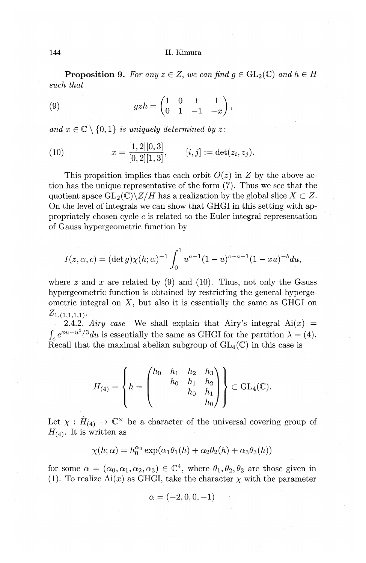**Proposition 9.** For any  $z \in Z$ , we can find  $g \in GL_2(\mathbb{C})$  and  $h \in H$ *such that* 

(9) 
$$
gzh = \begin{pmatrix} 1 & 0 & 1 & 1 \\ 0 & 1 & -1 & -x \end{pmatrix},
$$

and  $x \in \mathbb{C} \setminus \{0, 1\}$  *is uniquely determined by z:* 

(10) 
$$
x = \frac{[1,2][0,3]}{[0,2][1,3]}, \qquad [i,j] := \det(z_i, z_j).
$$

This propsition implies that each orbit  $O(z)$  in *Z* by the above action has the unique representative of the form (7). Thus we see that the quotient space  $GL_2(\mathbb{C})\backslash Z/H$  has a realization by the global slice  $X \subset Z$ . On the level of integrals we can show that GHGI in this setting with appropriately chosen cycle *c* is related to the Euler integral representation of Gauss hypergeometric function by

$$
I(z, \alpha, c) = (\det g) \chi(h; \alpha)^{-1} \int_0^1 u^{a-1} (1-u)^{c-a-1} (1-xu)^{-b} du,
$$

where z and x are related by (9) and (10). Thus, not only the Gauss hypergeometric function is obtained by restricting the general hypergeometric integral on  $X$ , but also it is essentially the same as GHGI on  $Z_{1,(1,1,1,1)}$ .

2.4.2. *Airy case* We shall explain that Airy's integral  $Ai(x)$  =  $\int_{c} e^{xu-u^{3}/3} du$  is essentially the same as GHGI for the partition  $\lambda = (4)$ . Recall that the maximal abelian subgroup of  $GL_4(\mathbb{C})$  in this case is

$$
H_{(4)} = \left\{ h = \begin{pmatrix} h_0 & h_1 & h_2 & h_3 \\ & h_0 & h_1 & h_2 \\ & & h_0 & h_1 \\ & & & h_0 \end{pmatrix} \right\} \subset GL_4(\mathbb{C}).
$$

Let  $\chi : \tilde{H}_{(4)} \to \mathbb{C}^{\times}$  be a character of the universal covering group of  $H_{(4)}$ . It is written as

$$
\chi(h; \alpha) = h_0^{\alpha_0} \exp(\alpha_1 \theta_1(h) + \alpha_2 \theta_2(h) + \alpha_3 \theta_3(h))
$$

for some  $\alpha = (\alpha_0, \alpha_1, \alpha_2, \alpha_3) \in \mathbb{C}^4$ , where  $\theta_1, \theta_2, \theta_3$  are those given in (1). To realize Ai(x) as GHGI, take the character  $\chi$  with the parameter

$$
\alpha=(-2,0,0,-1)
$$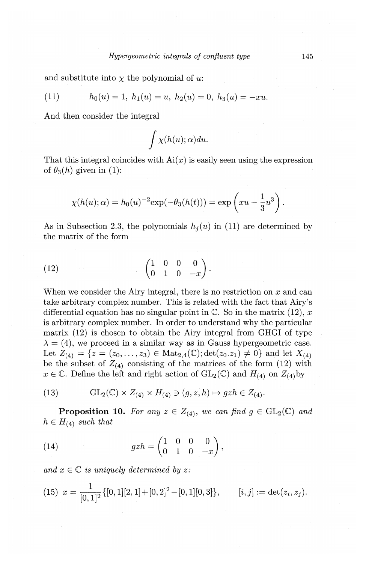and substitute into  $\chi$  the polynomial of  $u$ .

(11) 
$$
h_0(u) = 1, h_1(u) = u, h_2(u) = 0, h_3(u) = -xu.
$$

And then consider the integral

$$
\int \chi(h(u);\alpha)du.
$$

That this integral coincides with  $Ai(x)$  is easily seen using the expression of  $\theta_3(h)$  given in (1):

$$
\chi(h(u); \alpha) = h_0(u)^{-2} \exp(-\theta_3(h(t))) = \exp\left(xu - \frac{1}{3}u^3\right).
$$

As in Subsection 2.3, the polynomials  $h_i(u)$  in (11) are determined by the matrix of the form

(12) 
$$
\begin{pmatrix} 1 & 0 & 0 & 0 \\ 0 & 1 & 0 & -x \end{pmatrix}.
$$

When we consider the Airy integral, there is no restriction on *x* and can take arbitrary complex number. This is related with the fact that Airy's differential equation has no singular point in C. So in the matrix (12), *x*  is arbitrary complex number. In order to understand why the particular matrix (12) is chosen to obtain the Airy integral from GHGI of type  $\lambda = (4)$ , we proceed in a similar way as in Gauss hypergeometric case. Let  $Z_{(4)} = \{z = (z_0, \ldots, z_3) \in Mat_{2,4}(\mathbb{C}); \det(z_0, z_1) \neq 0\}$  and let  $X_{(4)}$ be the subset of  $Z_{(4)}$  consisting of the matrices of the form (12) with  $x \in \mathbb{C}$ . Define the left and right action of  $GL_2(\mathbb{C})$  and  $H_{(4)}$  on  $Z_{(4)}$  by

(13) 
$$
\mathrm{GL}_2(\mathbb{C}) \times Z_{(4)} \times H_{(4)} \ni (g, z, h) \mapsto gzh \in Z_{(4)}.
$$

**Proposition 10.** For any  $z \in Z_{(4)}$ , we can find  $g \in GL_2(\mathbb{C})$  and  $h \in H_{(4)}$  *such that* 

(14) 
$$
gzh = \begin{pmatrix} 1 & 0 & 0 & 0 \\ 0 & 1 & 0 & -x \end{pmatrix},
$$

*and*  $x \in \mathbb{C}$  *is uniquely determined by z:* 

$$
(15) \ \ x = \frac{1}{[0,1]^2} \{ [0,1][2,1] + [0,2]^2 - [0,1][0,3] \}, \qquad [i,j] := \det(z_i, z_j).
$$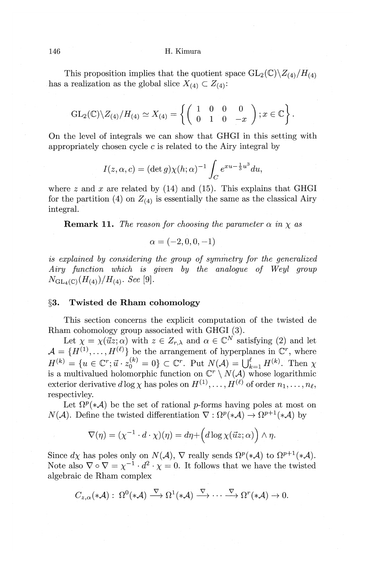This proposition implies that the quotient space  $GL_2(\mathbb{C})\backslash Z_{(4)}/H_{(4)}$ has a realization as the global slice  $X_{(4)} \subset Z_{(4)}$ :

$$
\operatorname{GL}_2(\mathbb{C})\backslash Z_{(4)}/H_{(4)}\simeq X_{(4)}=\left\{\left(\begin{array}{cccc}1&0&0&0\\0&1&0&-x\end{array}\right);x\in\mathbb{C}\right\}.
$$

On the level of integrals we can show that GHGI in this setting with appropriately chosen cycle *c* is related to the Airy integral by

$$
I(z, \alpha, c) = (\det g) \chi(h; \alpha)^{-1} \int_C e^{xu - \frac{1}{3}u^3} du,
$$

where  $z$  and  $x$  are related by (14) and (15). This explains that GHGI for the partition (4) on  $Z_{(4)}$  is essentially the same as the classical Airy integral.

**Remark 11.** *The reason for choosing the parameter*  $\alpha$  *in*  $\chi$  *as* 

$$
\alpha=(-2,0,0,-1)
$$

*is explained by considering the group of symmetry for the generalized Airy function which is given by the analogue of Weyl group*   $N_{\text{GL}_4(\mathbb{C})}(H_{(4)})/H_{(4)}$ . See [9].

#### **§3. Twisted de Rham cohomology**

This section concerns the explicit computation of the twisted de Rham cohomology group associated with GHGI (3).

Let  $\chi = \chi(\vec{u}z; \alpha)$  with  $z \in Z_{r,\lambda}$  and  $\alpha \in \mathbb{C}^N$  satisfying (2) and let  $\mathcal{A} = \{H^{(1)}, \ldots, H^{(\ell)}\}$  be the arrangement of hyperplanes in  $\mathbb{C}^r$ , where  $H^{(k)} = \{u \in \mathbb{C}^r; \vec{u} \cdot z_0^{(k)} = 0\} \subset \mathbb{C}^r$ . Put  $N(\mathcal{A}) = \bigcup_{k=1}^{\ell} H^{(k)}$ . Then  $\chi$ is a multivalued holomorphic function on  $\mathbb{C}^r \setminus N(\mathcal{A})$  whose logarithmic exterior derivative  $d \log \chi$  has poles on  $H^{(1)}, \ldots, H^{(\ell)}$  of order  $n_1, \ldots, n_\ell$ , respectivley.

Let  $\Omega^p(*{\mathcal A})$  be the set of rational p-forms having poles at most on  $N(\mathcal{A})$ . Define the twisted differentiation  $\nabla : \Omega^p(*\mathcal{A}) \to \Omega^{p+1}(*\mathcal{A})$  by

$$
\nabla(\eta) = (\chi^{-1} \cdot d \cdot \chi)(\eta) = d\eta + \left( d \log \chi(\vec{u}z; \alpha) \right) \wedge \eta.
$$

Since  $d\chi$  has poles only on  $N(\mathcal{A}), \nabla$  really sends  $\Omega^p(*\mathcal{A})$  to  $\Omega^{p+1}(*\mathcal{A}).$ Note also  $\nabla \circ \nabla = \chi^{-1} \cdot d^2 \cdot \chi = 0$ . It follows that we have the twisted algebraic de Rham complex

$$
C_{z,\alpha}(*{\cal A}): \ \Omega^0(*{\cal A}) \stackrel{\nabla}{\longrightarrow} \Omega^1(*{\cal A}) \stackrel{\nabla}{\longrightarrow} \cdots \stackrel{\nabla}{\longrightarrow} \Omega^r(*{\cal A}) \rightarrow 0.
$$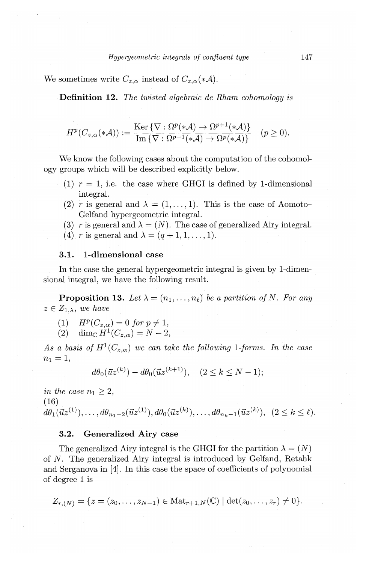We sometimes write  $C_{z,\alpha}$  instead of  $C_{z,\alpha}(*{\cal A})$ .

Definition 12. *The twisted algebraic de Rham cohomology is* 

$$
H^p(C_{z,\alpha}(*{\mathcal A})) := \frac{\text{Ker}\,\{\nabla : \Omega^p(*{\mathcal A}) \to \Omega^{p+1}(*{\mathcal A})\}}{\text{Im}\,\{\nabla : \Omega^{p-1}(*{\mathcal A}) \to \Omega^p(*{\mathcal A})\}} \quad (p \ge 0).
$$

We know the following cases about the computation of the cohomology groups which will be described explicitly below.

- (1)  $r = 1$ , i.e. the case where GHGI is defined by 1-dimensional integral.
- (2) *r* is general and  $\lambda = (1, \ldots, 1)$ . This is the case of Aomoto-Gelfand hypergeometric integral.
- (3) *r* is general and  $\lambda = (N)$ . The case of generalized Airy integral.
- (4) r is general and  $\lambda = (q + 1, 1, \ldots, 1)$ .

## 3.1. !-dimensional case

In the case the general hypergeometric integral is given by 1-dimensional integral, we have the following result.

**Proposition 13.** Let  $\lambda = (n_1, \ldots, n_\ell)$  be a partition of N. For any  $z \in Z_{1,\lambda}$ , we have

- (1)  $H^p(C_{z,\alpha}) = 0$  *for*  $p \neq 1$ ,
- (2)  $\dim_{\mathbb{C}} H^{1}(C_{z,\alpha}) = N-2,$

As a basis of  $H^1(C_{z,\alpha})$  we can take the following 1-forms. In the case  $n_1 = 1,$ 

$$
d\theta_0(\vec{u}z^{(k)}) - d\theta_0(\vec{u}z^{(k+1)}), \quad (2 \le k \le N - 1);
$$

*in the case*  $n_1 \geq 2$ , (16)  $d\theta_1(\vec{u}z^{(1)}), \ldots, d\theta_{n_1-2}(\vec{u}z^{(1)}), d\theta_0(\vec{u}z^{(k)}), \ldots, d\theta_{n_k-1}(\vec{u}z^{(k)}), \; (2 \leq k \leq \ell).$ 

#### 3.2. Generalized Airy case

The generalized Airy integral is the GHGI for the partition  $\lambda = (N)$ of N. The generalized Airy integral is introduced by Gelfand, Retahk and Serganova in [4]. In this case the space of coefficients of polynomial of degree 1 is

$$
Z_{r,(N)} = \{z = (z_0, \ldots, z_{N-1}) \in \text{Mat}_{r+1,N}(\mathbb{C}) \mid \det(z_0, \ldots, z_r) \neq 0\}.
$$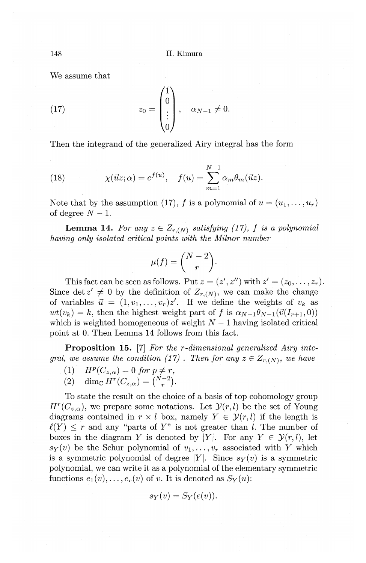We assume that

(17) 
$$
z_0 = \begin{pmatrix} 1 \\ 0 \\ \vdots \\ 0 \end{pmatrix}, \quad \alpha_{N-1} \neq 0.
$$

Then the integrand of the generalized Airy integral has the form

(18) 
$$
\chi(\vec{u}z;\alpha) = e^{f(u)}, \quad f(u) = \sum_{m=1}^{N-1} \alpha_m \theta_m(\vec{u}z).
$$

Note that by the assumption (17), f is a polynomial of  $u = (u_1, \ldots, u_r)$ of degree  $N-1$ .

**Lemma 14.** For any  $z \in Z_{r,(N)}$  satisfying (17), f is a polynomial *having only isolated critical points with the Milnor number* 

$$
\mu(f) = \binom{N-2}{r}.
$$

This fact can be seen as follows. Put  $z = (z', z'')$  with  $z' = (z_0, \ldots, z_r)$ . Since det  $z' \neq 0$  by the definition of  $Z_{r,(N)}$ , we can make the change of variables  $\vec{u} = (1, v_1, \ldots, v_r)z'$ . If we define the weights of  $v_k$  as  $wt(v_k) = k$ , then the highest weight part of f is  $\alpha_{N-1}\theta_{N-1}(\vec{v}(I_{r+1}, 0))$ which is weighted homogeneous of weight  $N-1$  having isolated critical point at 0. Then Lemma 14 follows from this fact.

**Proposition 15.** [7] *For the r-dimensional generalized Airy integral, we assume the condition (17)*. *Then for any*  $z \in Z_{r,(N)}$ , *we have* 

(1)  $H^p(C_{z,\alpha}) = 0$  for  $p \neq r$ ,

$$
(2) \quad \dim_{\mathbb{C}} H^r(C_{z,\alpha}) = \binom{N-2}{r}.
$$

To state the result on the choice of a basis of top cohomology group  $H^r(C_{z,\alpha})$ , we prepare some notations. Let  $\mathcal{Y}(r,l)$  be the set of Young diagrams contained in  $r \times l$  box, namely  $Y \in \mathcal{Y}(r, l)$  if the length is  $\ell(Y) \leq r$  and any "parts of Y" is not greater than l. The number of boxes in the diagram Y is denoted by |Y|. For any  $Y \in \mathcal{Y}(r, l)$ , let  $s_Y(v)$  be the Schur polynomial of  $v_1, \ldots, v_r$  associated with *Y* which is a symmetric polynomial of degree |Y|. Since  $s_Y(v)$  is a symmetric polynomial, we can write it as a polynomial of the elementary symmetric functions  $e_1(v), \ldots, e_r(v)$  of *v*. It is denoted as  $S_Y(u)$ :

$$
s_Y(v) = S_Y(e(v)).
$$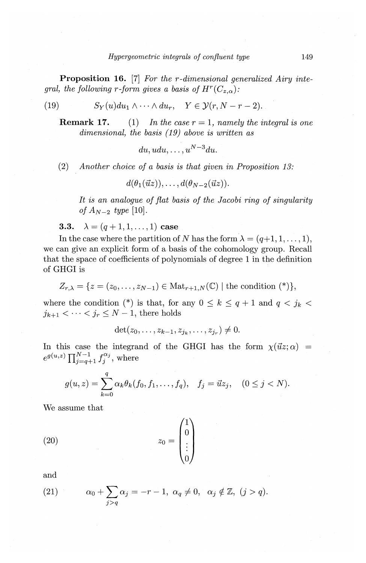**Proposition 16.** [7] *For the r-dimensional generalized Airy integral, the following r-form gives a basis of*  $H^r(C_{z,\alpha})$ :

(19) 
$$
S_Y(u)du_1 \wedge \cdots \wedge du_r, \quad Y \in \mathcal{Y}(r, N-r-2).
$$

**Remark 17.** (1) In the case  $r = 1$ , namely the integral is one *dimensional, the basis ( 19) above is written as* 

 $du, udu, \ldots, u^{N-3}du.$ 

(2) *Another choice of a basis is that given in Proposition 13:* 

 $d(\theta_1(\vec{u}z)), \ldots, d(\theta_{N-2}(\vec{u}z)).$ 

*It is an analogue of flat basis of the Jacobi ring of singularity of*  $A_{N-2}$  *type* [10].

3.3.  $\lambda = (q + 1, 1, \dots, 1)$  case

In the case where the partition of *N* has the form  $\lambda = (q+1, 1, \ldots, 1)$ , we can give an explicit form of a basis of the cohomology group. Recall that the space of coefficients of polynomials of degree 1 in the definition of GHGI is

$$
Z_{r,\lambda} = \{ z = (z_0, \ldots, z_{N-1}) \in \text{Mat}_{r+1,N}(\mathbb{C}) \mid \text{the condition } (*) \},
$$

where the condition (\*) is that, for any  $0 \leq k \leq q+1$  and  $q < j_k$  $j_{k+1} < \cdots < j_r \leq N-1$ , there holds

$$
\det(z_0, \ldots, z_{k-1}, z_{j_k}, \ldots, z_{j_r}) \neq 0.
$$

In this case the integrand of the GHGI has the form  $\chi(\vec{u}z;\alpha)$  =  $e^{g(u,z)}\prod_{j=q+1}^{N-1} f_j^{\alpha_j}$ , where

$$
g(u, z) = \sum_{k=0}^{q} \alpha_k \theta_k(f_0, f_1, \dots, f_q), \quad f_j = \vec{u}z_j, \quad (0 \le j < N).
$$

We assume that

$$
(20) \t\t\t z_0 = \begin{pmatrix} 1 \\ 0 \\ \vdots \\ 0 \end{pmatrix}
$$

and

(21) 
$$
\alpha_0 + \sum_{j>q} \alpha_j = -r - 1, \ \alpha_q \neq 0, \ \alpha_j \notin \mathbb{Z}, \ (j > q).
$$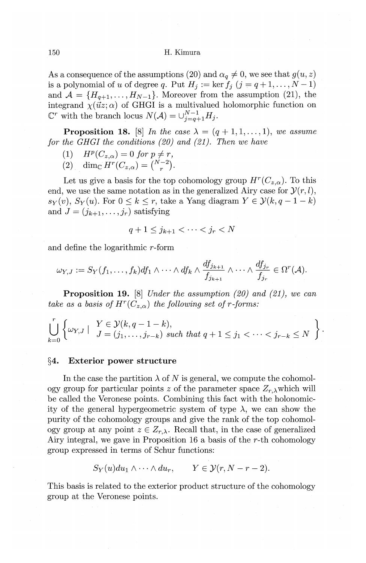As a consequence of the assumptions (20) and  $\alpha_q \neq 0$ , we see that  $g(u, z)$ is a polynomial of *u* of degree *q*. Put  $H_j := \ker f_j$   $(j = q+1, \ldots, N-1)$ and  $A = \{H_{q+1}, \ldots, H_{N-1}\}.$  Moreover from the assumption (21), the integrand  $\chi(\vec{u}z;\alpha)$  of GHGI is a multivalued holomorphic function on  $\mathbb{C}^r$  with the branch locus  $N(\mathcal{A}) = \cup_{j=q+1}^{N-1} H_j$ .

**Proposition 18.** [8] *In the case*  $\lambda = (q + 1, 1, \ldots, 1)$ , *we assume for the GHGI the conditions {20} and {21). Then we have* 

- $(H)$  *H<sup>p</sup>*( $C_{z,\alpha}$ ) = 0 *for*  $p \neq r$ ,
- (2) dim<sub>C</sub>  $H^r(C_{z,\alpha}) = \binom{N-2}{r}$ .

Let us give a basis for the top cohomology group  $H^r(C_{z,\alpha})$ . To this end, we use the same notation as in the generalized Airy case for  $\mathcal{Y}(r, l)$ ,  $s_Y(v)$ ,  $S_Y(u)$ . For  $0 \leq k \leq r$ , take a Yang diagram  $Y \in \mathcal{Y}(k, q-1-k)$ and  $J = (j_{k+1}, \ldots, j_r)$  satisfying

$$
q+1\leq j_{k+1}<\cdots
$$

and define the logarithmic r-form

$$
\omega_{Y,J} := S_Y(f_1,\ldots,f_k)df_1 \wedge \cdots \wedge df_k \wedge \frac{df_{j_{k+1}}}{f_{j_{k+1}}} \wedge \cdots \wedge \frac{df_{j_r}}{f_{j_r}} \in \Omega^r(\mathcal{A}).
$$

**Proposition 19.** [8] *Under the assumption {20} and {21}, we can take as a basis of*  $H^r(C_{z,\alpha})$  *the following set of r-forms:* 

 $\bigcup_{j=0}^{r} \left\{ \omega_{Y,J} \left| \begin{array}{c} Y \in \mathcal{Y}(k,q-1-k), \\ J = (j_1,\ldots,j_{r-k}) \text{ such that } q+1 \leq j_1 < \cdots < j_{r-k} \leq N \end{array} \right. \right\}.$ 

## **§4. Exterior power structure**

In the case the partition  $\lambda$  of *N* is general, we compute the cohomology group for particular points *z* of the parameter space  $Z_{r,\lambda}$  which will be called the Veronese points. Combining this fact with the holonomicity of the general hypergeometric system of type  $\lambda$ , we can show the purity of the cohomology groups and give the rank of the top cohomology group at any point  $z \in Z_{r,\lambda}$ . Recall that, in the case of generalized Airy integral, we gave in Proposition 16 a basis of the *r-th* cohomology group expressed in terms of Schur functions:

$$
S_Y(u)du_1\wedge\cdots\wedge du_r, \qquad Y\in \mathcal{Y}(r,N-r-2).
$$

This basis is related to the exterior product structure of the cohomology group at the Veronese points.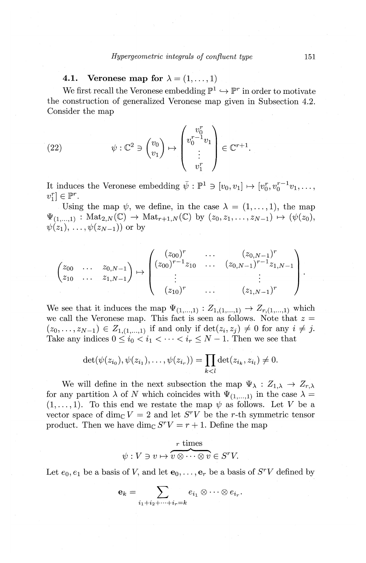# **4.1.** Veronese map for  $\lambda = (1, \ldots, 1)$

We first recall the Veronese embedding  $\mathbb{P}^1 \hookrightarrow \mathbb{P}^r$  in order to motivate the construction of generalized Veronese map given in Subsection 4.2. Consider the map

(22) 
$$
\psi : \mathbb{C}^2 \ni \begin{pmatrix} v_0 \\ v_1 \end{pmatrix} \mapsto \begin{pmatrix} v_0^r \\ v_0^{r-1} v_1 \\ \vdots \\ v_1^r \end{pmatrix} \in \mathbb{C}^{r+1}.
$$

It induces the Veronese embedding  $\bar{\psi}: \mathbb{P}^1 \ni [v_0, v_1] \mapsto [v_0^r, v_0^{r-1}v_1, \ldots, v_n^{r-1}]$  $v_1^r$   $\in \mathbb{P}^r$ .

Using the map  $\psi$ , we define, in the case  $\lambda = (1, \ldots, 1)$ , the map  $\Psi_{(1,...,1)} : \text{Mat}_{2,N}(\mathbb{C}) \to \text{Mat}_{r+1,N}(\mathbb{C})$  by  $(z_0, z_1, \ldots, z_{N-1}) \mapsto (\psi(z_0),$  $\psi(z_1), \ldots, \psi(z_{N-1})$  or by

$$
\begin{pmatrix} z_{00} & \dots & z_{0,N-1} \ z_{10} & \dots & z_{1,N-1} \end{pmatrix} \mapsto \begin{pmatrix} (z_{00})^r & \dots & (z_{0,N-1})^r \ (z_{00})^{r-1} z_{10} & \dots & (z_{0,N-1})^{r-1} z_{1,N-1} \ \vdots & \vdots & \vdots \ (z_{10})^r & \dots & (z_{1,N-1})^r \end{pmatrix}.
$$

We see that it induces the map  $\Psi_{(1,...,1)} : Z_{1,(1,...,1)} \rightarrow Z_{r,(1,...,1)}$  which we call the Veronese map. This fact is seen as follows. Note that  $z =$  $(z_0, \ldots, z_{N-1}) \in Z_{1,(1,\ldots,1)}$  if and only if  $\det(z_i, z_j) \neq 0$  for any  $i \neq j$ . Take any indices  $0 \leq i_0 < i_1 < \cdots < i_r \leq N-1$ . Then we see that

$$
\det(\psi(z_{i_0}), \psi(z_{i_1}), \ldots, \psi(z_{i_r})) = \prod_{k < l} \det(z_{i_k}, z_{i_l}) \neq 0.
$$

We will define in the next subsection the map  $\Psi_{\lambda} : Z_{1,\lambda} \to Z_{r,\lambda}$ . for any partition  $\lambda$  of N which coincides with  $\Psi_{(1,...,1)}$  in the case  $\lambda =$  $(1, \ldots, 1)$ . To this end we restate the map  $\psi$  as follows. Let *V* be a vector space of dim<sub>c</sub>  $V = 2$  and let *S<sup>r</sup>V* be the *r*-th symmetric tensor product. Then we have dim<sub>c</sub>  $S<sup>r</sup>V = r + 1$ . Define the map

$$
\psi: V \ni v \mapsto \overbrace{v \otimes \cdots \otimes v}^{r \text{ times}} \in S^{r}V.
$$

Let  $e_0, e_1$  be a basis of V, and let  $e_0, \ldots, e_r$  be a basis of  $S^rV$  defined by

$$
\mathbf{e}_k = \sum_{i_1 + i_2 + \dots + i_r = k} e_{i_1} \otimes \dots \otimes e_{i_r}.
$$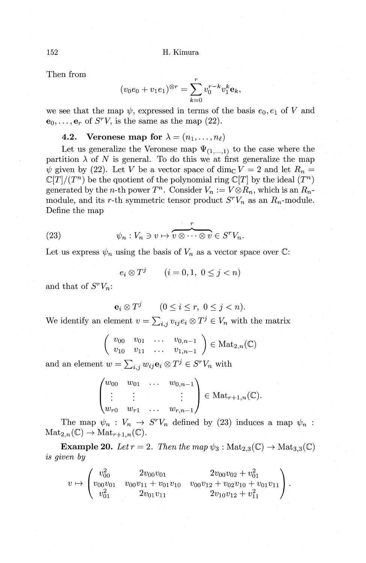Then from

$$
(v_0 e_0 + v_1 e_1)^{\otimes r} = \sum_{k=0}^r v_0^{r-k} v_1^k \mathbf{e}_k,
$$

we see that the map  $\psi$ , expressed in terms of the basis  $e_0, e_1$  of *V* and  $e_0, \ldots, e_r$  of *S<sup>r</sup>V*, is the same as the map (22).

## **4.2.** Veronese map for  $\lambda = (n_1, \ldots, n_\ell)$

Let us generalize the Veronese map  $\Psi_{(1,...,1)}$  to the case where the partition  $\lambda$  of N is general. To do this we at first generalize the map  $\psi$  given by (22). Let *V* be a vector space of dim<sub>C</sub>  $V = 2$  and let  $R_n =$  $\mathbb{C}[T]/(T^n)$  be the quotient of the polynomial ring  $\mathbb{C}[T]$  by the ideal  $(T^n)$ generated by the *n*-th power  $T^n$ . Consider  $V_n := V \otimes R_n$ , which is an  $R_n$ module, and its r-th symmetric tensor product  $S^{r}V_{n}$  as an  $R_{n}$ -module. Define the map

Define the map  
(23) 
$$
\psi_n: V_n \ni v \mapsto v \otimes \cdots \otimes v \in S^r V_n.
$$

Let us express  $\psi_n$  using the basis of  $V_n$  as a vector space over  $\mathbb{C}$ :

$$
e_i \otimes T^j \qquad (i = 0, 1, 0 \le j < n)
$$

and that of  $S^{r}V_{n}$ :

 $\mathbf{e}_i \otimes T^j$   $(0 \leq i \leq r, 0 \leq j < n).$ 

We identify an element  $v = \sum_{i,j} v_{ij} e_i \otimes T^j \in V_n$  with the matrix

$$
\left(\begin{array}{cccc}v_{00} & v_{01} & \dots & v_{0,n-1} \\v_{10} & v_{11} & \dots & v_{1,n-1}\end{array}\right) \in \text{Mat}_{2,n}(\mathbb{C})
$$

and an element  $w = \sum_{i,j} w_{ij} e_i \otimes T^j \in S^r V_n$  with

$$
\begin{pmatrix} w_{00} & w_{01} & \dots & w_{0,n-1} \\ \vdots & \vdots & & \vdots \\ w_{r0} & w_{r1} & \dots & w_{r,n-1} \end{pmatrix} \in \text{Mat}_{r+1,n}(\mathbb{C}).
$$

The map  $\psi_n : V_n \to S^n V_n$  defined by (23) induces a map  $\psi_n$ :  $\operatorname{Mat}_{2,n}(\mathbb{C}) \to \operatorname{Mat}_{r+1,n}(\mathbb{C}).$ 

**Example 20.** *Let*  $r = 2$ . *Then the map*  $\psi_3$ :  $Mat_{2,3}(\mathbb{C}) \rightarrow Mat_{3,3}(\mathbb{C})$ *is given by* 

$$
v \mapsto \begin{pmatrix} v_{00}^2 & 2v_{00}v_{01} & 2v_{00}v_{02} + v_{01}^2 \\ v_{00}v_{01} & v_{00}v_{11} + v_{01}v_{10} & v_{00}v_{12} + v_{02}v_{10} + v_{01}v_{11} \\ v_{01}^2 & 2v_{01}v_{11} & 2v_{10}v_{12} + v_{11}^2 \end{pmatrix}
$$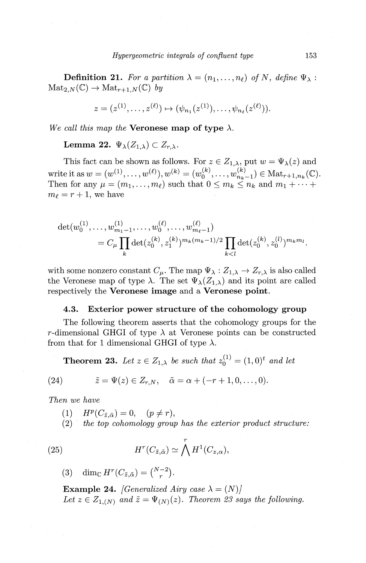**Definition 21.** For a partition  $\lambda = (n_1, \ldots, n_\ell)$  of N, define  $\Psi_\lambda$ :  $\text{Mat}_{2,N}(\mathbb{C}) \to \text{Mat}_{r+1,N}(\mathbb{C})$  *by* 

$$
z = (z^{(1)}, \ldots, z^{(\ell)}) \mapsto (\psi_{n_1}(z^{(1)}), \ldots, \psi_{n_\ell}(z^{(\ell)})).
$$

*We call this map the* **Veronese map of type**  $\lambda$ .

**Lemma 22.**  $\Psi_{\lambda}(Z_{1,\lambda}) \subset Z_{r,\lambda}$ .

This fact can be shown as follows. For  $z \in Z_{1,\lambda}$ , put  $w = \Psi_{\lambda}(z)$  and write it as  $w = (w^{(1)}, \ldots, w^{(\ell)}), w^{(k)} = (w_0^{(k)}, \ldots, w_{n_k-1}^{(k)}) \in \text{Mat}_{r+1, n_k}(\mathbb{C}).$ Then for any  $\mu = (m_1, \ldots, m_\ell)$  such that  $0 \leq m_k \leq n_k$  and  $m_1 + \cdots +$  $m_{\ell} = r + 1$ , we have

$$
\det(w_0^{(1)}, \dots, w_{m_1-1}^{(1)}, \dots, w_0^{(\ell)}, \dots, w_{m_\ell-1}^{(\ell)})
$$
  
=  $C_\mu \prod_k \det(z_0^{(k)}, z_1^{(k)})^{m_k(m_k-1)/2} \prod_{k < l} \det(z_0^{(k)}, z_0^{(l)})^{m_k m_l}.$ 

with some nonzero constant  $C_{\mu}$ . The map  $\Psi_{\lambda}: Z_{1,\lambda} \to Z_{r,\lambda}$  is also called the Veronese map of type  $\lambda$ . The set  $\Psi_{\lambda}(Z_{1,\lambda})$  and its point are called respectively the **Veronese image** and a **Veronese point.** 

## **4.3. Exterior power structure of the cohomology group**

The following theorem asserts that the cohomology groups for the r-dimensional GHGI of type  $\lambda$  at Veronese points can be constructed from that for 1 dimensional GHGI of type  $\lambda$ .

**Theorem 23.** Let  $z \in Z_{1,\lambda}$  be such that  $z_0^{(1)} = (1,0)^t$  and let

(24) 
$$
\tilde{z} = \Psi(z) \in Z_{r,N}, \quad \tilde{\alpha} = \alpha + (-r+1,0,\ldots,0).
$$

*Then we have* 

- $(H^p(C_{\tilde{z},\tilde{\alpha}}) = 0, \quad (p \neq r),$
- (2) · *the top cohomology group has the exterior product structure:*

(25) 
$$
H^r(C_{\tilde{z},\tilde{\alpha}}) \simeq \bigwedge^r H^1(C_{z,\alpha}),
$$

(3) dim<sub>C</sub>  $H^r(C_{\tilde{z},\tilde{\alpha}}) = \binom{N-2}{r}$ .

**Example 24.** *[Generalized Airy case*  $\lambda = (N)$ *]* Let  $z \in Z_{1,(N)}$  and  $\tilde{z} = \Psi_{(N)}(z)$ . Theorem 23 says the following.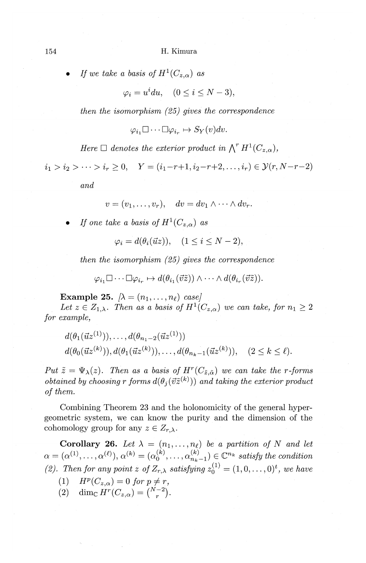*If we take a basis of*  $H^1(C_{z,\alpha})$  *as* 

 $\varphi_i = u^i du, \quad (0 \le i \le N-3),$ 

*then the isomorphism ( 25) gives the correspondence* 

 $\varphi_i, \Box \cdots \Box \varphi_i \mapsto S_{\mathcal{Y}}(v)dv.$ 

*Here*  $\Box$  *denotes the exterior product in*  $\bigwedge^r H^1(C_{z,\alpha}),$ 

 $i_1 > i_2 > \cdots > i_r \geq 0$ ,  $Y = (i_1 - r + 1, i_2 - r + 2, \ldots, i_r) \in \mathcal{Y}(r, N - r - 2)$ 

*and* 

 $v = (v_1, \ldots, v_r), \quad dv = dv_1 \wedge \cdots \wedge dv_r.$ 

*If one take a basis of*  $H^1(C_{z,\alpha})$  *as* 

 $\varphi_i = d(\theta_i(\vec{u}z)), \quad (1 \leq i \leq N-2),$ 

*then the isomorphism (25) gives the correspondence* 

 $\varphi_{i_1} \Box \cdots \Box \varphi_{i_n} \mapsto d(\theta_{i_1}(\vec{v}\tilde{z})) \wedge \cdots \wedge d(\theta_{i_n}(\vec{v}\tilde{z})).$ 

**Example 25.**  $\lambda = (n_1, \ldots, n_\ell)$  case)

Let  $z \in Z_{1,\lambda}$ . Then as a basis of  $H^1(C_{z,\alpha})$  we can take, for  $n_1 \geq 2$ *for example,* 

$$
d(\theta_1(\vec{u}z^{(1)})), \ldots, d(\theta_{n_1-2}(\vec{u}z^{(1)}))
$$
  

$$
d(\theta_0(\vec{u}z^{(k)})), d(\theta_1(\vec{u}z^{(k)})), \ldots, d(\theta_{n_k-1}(\vec{u}z^{(k)})), \quad (2 \leq k \leq \ell).
$$

*Put*  $\tilde{z} = \Psi_{\lambda}(z)$ . Then as a basis of  $H^{r}(C_{\tilde{z}, \tilde{\alpha}})$  we can take the r-forms *obtained by choosing r forms*  $d(\theta_i(\vec{v}\vec{z}^{(k)}))$  *and taking the exterior product of them.* 

Combining Theorem 23 and the holonomicity of the general hypergeometric system, we can know the purity and the dimension of the cohomology group for any  $z \in Z_{r,\lambda}$ .

**Corollary 26.** Let  $\lambda = (n_1, \ldots, n_\ell)$  be a partition of N and let  $\alpha = (\alpha^{(1)}, \ldots, \alpha^{(\ell)}), \alpha^{(k)} = (\alpha_0^{(k)}, \ldots, \alpha_{n_k-1}^{(k)}) \in \mathbb{C}^{n_k}$  satisfy the condition *(2). Then for any point z of*  $Z_{r,\lambda}$  *satisfying*  $z_0^{(1)} = (1,0,\ldots,0)^t$ *, we have* 

- (1)  $H^p(C_{z,\alpha}) = 0$  for  $p \neq r$ ,
- (2) dim<sub>C</sub>  $H^r(C_{z,\alpha}) = {N-2 \choose z}.$